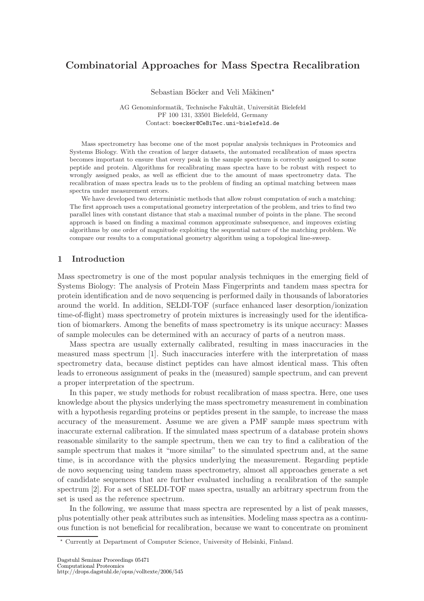# Combinatorial Approaches for Mass Spectra Recalibration

Sebastian Böcker and Veli Mäkinen\*

AG Genominformatik, Technische Fakultät, Universität Bielefeld PF 100 131, 33501 Bielefeld, Germany Contact: boecker@CeBiTec.uni-bielefeld.de

Mass spectrometry has become one of the most popular analysis techniques in Proteomics and Systems Biology. With the creation of larger datasets, the automated recalibration of mass spectra becomes important to ensure that every peak in the sample spectrum is correctly assigned to some peptide and protein. Algorithms for recalibrating mass spectra have to be robust with respect to wrongly assigned peaks, as well as efficient due to the amount of mass spectrometry data. The recalibration of mass spectra leads us to the problem of finding an optimal matching between mass spectra under measurement errors.

We have developed two deterministic methods that allow robust computation of such a matching: The first approach uses a computational geometry interpretation of the problem, and tries to find two parallel lines with constant distance that stab a maximal number of points in the plane. The second approach is based on finding a maximal common approximate subsequence, and improves existing algorithms by one order of magnitude exploiting the sequential nature of the matching problem. We compare our results to a computational geometry algorithm using a topological line-sweep.

## 1 Introduction

Mass spectrometry is one of the most popular analysis techniques in the emerging field of Systems Biology: The analysis of Protein Mass Fingerprints and tandem mass spectra for protein identification and de novo sequencing is performed daily in thousands of laboratories around the world. In addition, SELDI-TOF (surface enhanced laser desorption/ionization time-of-flight) mass spectrometry of protein mixtures is increasingly used for the identification of biomarkers. Among the benefits of mass spectrometry is its unique accuracy: Masses of sample molecules can be determined with an accuracy of parts of a neutron mass.

Mass spectra are usually externally calibrated, resulting in mass inaccuracies in the measured mass spectrum [1]. Such inaccuracies interfere with the interpretation of mass spectrometry data, because distinct peptides can have almost identical mass. This often leads to erroneous assignment of peaks in the (measured) sample spectrum, and can prevent a proper interpretation of the spectrum.

In this paper, we study methods for robust recalibration of mass spectra. Here, one uses knowledge about the physics underlying the mass spectrometry measurement in combination with a hypothesis regarding proteins or peptides present in the sample, to increase the mass accuracy of the measurement. Assume we are given a PMF sample mass spectrum with inaccurate external calibration. If the simulated mass spectrum of a database protein shows reasonable similarity to the sample spectrum, then we can try to find a calibration of the sample spectrum that makes it "more similar" to the simulated spectrum and, at the same time, is in accordance with the physics underlying the measurement. Regarding peptide de novo sequencing using tandem mass spectrometry, almost all approaches generate a set of candidate sequences that are further evaluated including a recalibration of the sample spectrum [2]. For a set of SELDI-TOF mass spectra, usually an arbitrary spectrum from the set is used as the reference spectrum.

In the following, we assume that mass spectra are represented by a list of peak masses, plus potentially other peak attributes such as intensities. Modeling mass spectra as a continuous function is not beneficial for recalibration, because we want to concentrate on prominent

<sup>?</sup> Currently at Department of Computer Science, University of Helsinki, Finland.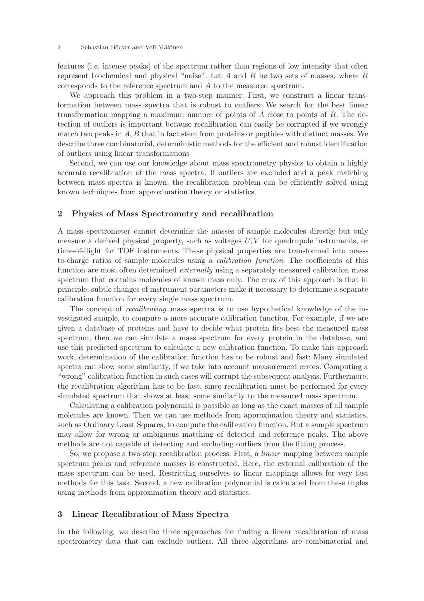features (i.e. intense peaks) of the spectrum rather than regions of low intensity that often represent biochemical and physical "noise". Let  $A$  and  $B$  be two sets of masses, where  $B$ corresponds to the reference spectrum and A to the measured spectrum.

We approach this problem in a two-step manner. First, we construct a linear transformation between mass spectra that is robust to outliers: We search for the best linear transformation mapping a maximum number of points of A close to points of B. The detection of outliers is important because recalibration can easily be corrupted if we wrongly match two peaks in  $A, B$  that in fact stem from proteins or peptides with distinct masses. We describe three combinatorial, deterministic methods for the efficient and robust identification of outliers using linear transformations

Second, we can use our knowledge about mass spectrometry physics to obtain a highly accurate recalibration of the mass spectra. If outliers are excluded and a peak matching between mass spectra is known, the recalibration problem can be efficiently solved using known techniques from approximation theory or statistics.

## 2 Physics of Mass Spectrometry and recalibration

A mass spectrometer cannot determine the masses of sample molecules directly but only measure a derived physical property, such as voltages  $U, V$  for quadrupole instruments, or time-of-flight for TOF instruments. These physical properties are transformed into massto-charge ratios of sample molecules using a calibration function. The coefficients of this function are most often determined *externally* using a separately measured calibration mass spectrum that contains molecules of known mass only. The crux of this approach is that in principle, subtle changes of instrument parameters make it necessary to determine a separate calibration function for every single mass spectrum.

The concept of recalibrating mass spectra is to use hypothetical knowledge of the investigated sample, to compute a more accurate calibration function. For example, if we are given a database of proteins and have to decide what protein fits best the measured mass spectrum, then we can simulate a mass spectrum for every protein in the database, and use this predicted spectrum to calculate a new calibration function. To make this approach work, determination of the calibration function has to be robust and fast: Many simulated spectra can show some similarity, if we take into account measurement errors. Computing a "wrong" calibration function in such cases will corrupt the subsequent analysis. Furthermore, the recalibration algorithm has to be fast, since recalibration must be performed for every simulated spectrum that shows at least some similarity to the measured mass spectrum.

Calculating a calibration polynomial is possible as long as the exact masses of all sample molecules are known. Then we can use methods from approximation theory and statistics, such as Ordinary Least Squares, to compute the calibration function. But a sample spectrum may allow for wrong or ambiguous matching of detected and reference peaks. The above methods are not capable of detecting and excluding outliers from the fitting process.

So, we propose a two-step recalibration process: First, a linear mapping between sample spectrum peaks and reference masses is constructed. Here, the external calibration of the mass spectrum can be used. Restricting ourselves to linear mappings allows for very fast methods for this task. Second, a new calibration polynomial is calculated from these tuples using methods from approximation theory and statistics.

## 3 Linear Recalibration of Mass Spectra

In the following, we describe three approaches for finding a linear recalibration of mass spectrometry data that can exclude outliers. All three algorithms are combinatorial and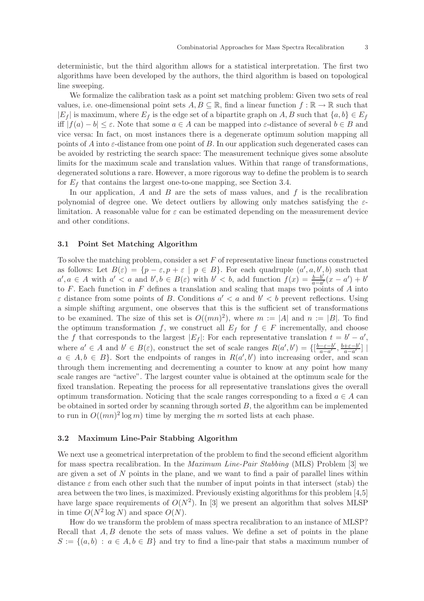deterministic, but the third algorithm allows for a statistical interpretation. The first two algorithms have been developed by the authors, the third algorithm is based on topological line sweeping.

We formalize the calibration task as a point set matching problem: Given two sets of real values, i.e. one-dimensional point sets  $A, B \subseteq \mathbb{R}$ , find a linear function  $f : \mathbb{R} \to \mathbb{R}$  such that  $|E_f|$  is maximum, where  $E_f$  is the edge set of a bipartite graph on A, B such that  $\{a,b\} \in E_f$ iff  $|f(a) - b| \leq \varepsilon$ . Note that some  $a \in A$  can be mapped into  $\varepsilon$ -distance of several  $b \in B$  and vice versa: In fact, on most instances there is a degenerate optimum solution mapping all points of A into  $\varepsilon$ -distance from one point of B. In our application such degenerated cases can be avoided by restricting the search space: The measurement technique gives some absolute limits for the maximum scale and translation values. Within that range of transformations, degenerated solutions a rare. However, a more rigorous way to define the problem is to search for  $E_f$  that contains the largest one-to-one mapping, see Section 3.4.

In our application,  $\tilde{A}$  and  $\tilde{B}$  are the sets of mass values, and  $\tilde{f}$  is the recalibration polynomial of degree one. We detect outliers by allowing only matches satisfying the  $\varepsilon$ limitation. A reasonable value for  $\varepsilon$  can be estimated depending on the measurement device and other conditions.

#### 3.1 Point Set Matching Algorithm

To solve the matching problem, consider a set  $F$  of representative linear functions constructed as follows: Let  $B(\varepsilon) = \{p - \varepsilon, p + \varepsilon \mid p \in B\}$ . For each quadruple  $(a', a, b', b)$  such that  $a', a \in A$  with  $a' < a$  and  $b', b \in B(\varepsilon)$  with  $b' < b$ , add function  $f(x) = \frac{b-b'}{a-a'}$  $\frac{b-b'}{a-a'}(x-a')+b'$ to  $F$ . Each function in  $F$  defines a translation and scaling that maps two points of  $A$  into  $\varepsilon$  distance from some points of B. Conditions  $a' < a$  and  $b' < b$  prevent reflections. Using a simple shifting argument, one observes that this is the sufficient set of transformations to be examined. The size of this set is  $O((mn)^2)$ , where  $m := |A|$  and  $n := |B|$ . To find the optimum transformation f, we construct all  $E_f$  for  $f \in F$  incrementally, and choose the f that corresponds to the largest  $|E_f|$ : For each representative translation  $t = b' - a'$ , where  $a' \in A$  and  $b' \in B(\varepsilon)$ , construct the set of scale ranges  $R(a', b') = \{[\frac{b-\varepsilon-b'}{a-a'}]$  $\frac{-\varepsilon-b'}{a-a'}$ ,  $\frac{b+\varepsilon-b'}{a-a'}$  $\frac{+\varepsilon-b'}{a-a'}$ ] |  $a \in A, b \in B$ . Sort the endpoints of ranges in  $R(a', b')$  into increasing order, and scan through them incrementing and decrementing a counter to know at any point how many scale ranges are "active". The largest counter value is obtained at the optimum scale for the fixed translation. Repeating the process for all representative translations gives the overall optimum transformation. Noticing that the scale ranges corresponding to a fixed  $a \in A$  can be obtained in sorted order by scanning through sorted  $B$ , the algorithm can be implemented to run in  $O((mn)^2 \log m)$  time by merging the m sorted lists at each phase.

#### 3.2 Maximum Line-Pair Stabbing Algorithm

We next use a geometrical interpretation of the problem to find the second efficient algorithm for mass spectra recalibration. In the Maximum Line-Pair Stabbing (MLS) Problem [3] we are given a set of N points in the plane, and we want to find a pair of parallel lines within distance  $\varepsilon$  from each other such that the number of input points in that intersect (stab) the area between the two lines, is maximized. Previously existing algorithms for this problem [4,5] have large space requirements of  $O(N^2)$ . In [3] we present an algorithm that solves MLSP in time  $O(N^2 \log N)$  and space  $O(N)$ .

How do we transform the problem of mass spectra recalibration to an instance of MLSP? Recall that  $A, B$  denote the sets of mass values. We define a set of points in the plane  $S := \{(a, b) : a \in A, b \in B\}$  and try to find a line-pair that stabs a maximum number of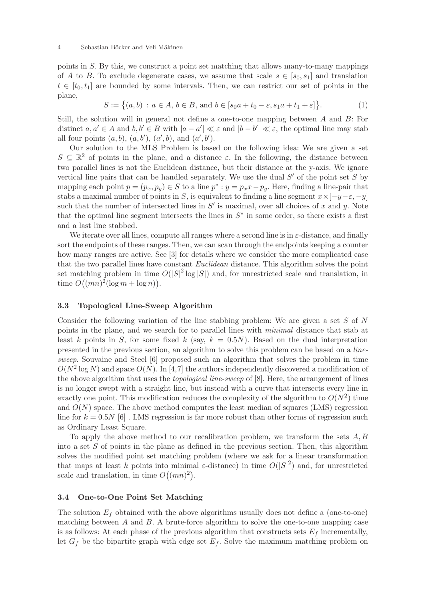points in S. By this, we construct a point set matching that allows many-to-many mappings of A to B. To exclude degenerate cases, we assume that scale  $s \in [s_0, s_1]$  and translation  $t \in [t_0, t_1]$  are bounded by some intervals. Then, we can restrict our set of points in the plane,

$$
S := \{(a, b) : a \in A, b \in B, \text{ and } b \in [s_0a + t_0 - \varepsilon, s_1a + t_1 + \varepsilon] \}.
$$
 (1)

Still, the solution will in general not define a one-to-one mapping between A and B: For distinct  $a, a' \in A$  and  $b, b' \in B$  with  $|a - a'| \ll \varepsilon$  and  $|b - b'| \ll \varepsilon$ , the optimal line may stab all four points  $(a, b)$ ,  $(a, b')$ ,  $(a', b)$ , and  $(a', b')$ .

Our solution to the MLS Problem is based on the following idea: We are given a set  $S \subseteq \mathbb{R}^2$  of points in the plane, and a distance  $\varepsilon$ . In the following, the distance between two parallel lines is not the Euclidean distance, but their distance at the y-axis. We ignore vertical line pairs that can be handled separately. We use the dual  $S'$  of the point set  $\overline{S}$  by mapping each point  $p = (p_x, p_y) \in S$  to a line  $p^* : y = p_x x - p_y$ . Here, finding a line-pair that stabs a maximal number of points in S, is equivalent to finding a line segment  $x \times [-y-\varepsilon, -y]$ such that the number of intersected lines in  $S'$  is maximal, over all choices of x and y. Note that the optimal line segment intersects the lines in  $S^*$  in some order, so there exists a first and a last line stabbed.

We iterate over all lines, compute all ranges where a second line is in  $\varepsilon$ -distance, and finally sort the endpoints of these ranges. Then, we can scan through the endpoints keeping a counter how many ranges are active. See [3] for details where we consider the more complicated case that the two parallel lines have constant *Euclidean* distance. This algorithm solves the point set matching problem in time  $O(|S|^2 \log |S|)$  and, for unrestricted scale and translation, in time  $O((mn)^2(\log m + \log n)).$ 

#### 3.3 Topological Line-Sweep Algorithm

Consider the following variation of the line stabbing problem: We are given a set  $S$  of  $N$ points in the plane, and we search for to parallel lines with minimal distance that stab at least k points in S, for some fixed k (say,  $k = 0.5N$ ). Based on the dual interpretation presented in the previous section, an algorithm to solve this problem can be based on a linesweep. Souvaine and Steel [6] proposed such an algorithm that solves the problem in time  $O(N^2 \log N)$  and space  $O(N)$ . In [4,7] the authors independently discovered a modification of the above algorithm that uses the *topological line-sweep* of [8]. Here, the arrangement of lines is no longer swept with a straight line, but instead with a curve that intersects every line in exactly one point. This modification reduces the complexity of the algorithm to  $O(N^2)$  time and  $O(N)$  space. The above method computes the least median of squares (LMS) regression line for  $k = 0.5N$  [6]. LMS regression is far more robust than other forms of regression such as Ordinary Least Square.

To apply the above method to our recalibration problem, we transform the sets  $A, B$ into a set  $S$  of points in the plane as defined in the previous section. Then, this algorithm solves the modified point set matching problem (where we ask for a linear transformation that maps at least k points into minimal  $\varepsilon$ -distance) in time  $O(|S|^2)$  and, for unrestricted scale and translation, in time  $O((mn)^2)$ .

#### 3.4 One-to-One Point Set Matching

The solution  $E_f$  obtained with the above algorithms usually does not define a (one-to-one) matching between  $A$  and  $B$ . A brute-force algorithm to solve the one-to-one mapping case is as follows: At each phase of the previous algorithm that constructs sets  $E_f$  incrementally, let  $G_f$  be the bipartite graph with edge set  $E_f$ . Solve the maximum matching problem on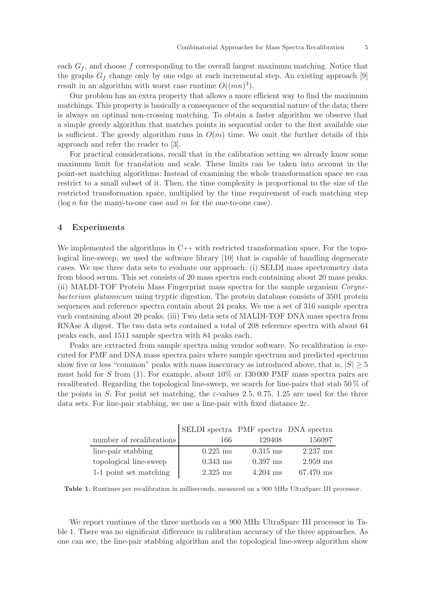each  $G_f$ , and choose f corresponding to the overall largest maximum matching. Notice that the graphs  $G_f$  change only by one edge at each incremental step. An existing approach [9] result in an algorithm with worst case runtime  $O((mn)^3)$ .

Our problem has an extra property that allows a more efficient way to find the maximum matchings. This property is basically a consequence of the sequential nature of the data; there is always an optimal non-crossing matching. To obtain a faster algorithm we observe that a simple greedy algorithm that matches points in sequential order to the first available one is sufficient. The greedy algorithm runs in  $O(m)$  time. We omit the further details of this approach and refer the reader to [3].

For practical considerations, recall that in the calibration setting we already know some maximum limit for translation and scale. These limits can be taken into account in the point-set matching algorithms: Instead of examining the whole transformation space we can restrict to a small subset of it. Then, the time complexity is proportional to the size of the restricted transformation space, multiplied by the time requirement of each matching step  $(\log n$  for the many-to-one case and m for the one-to-one case).

#### 4 Experiments

We implemented the algorithms in C++ with restricted transformation space. For the topological line-sweep, we used the software library [10] that is capable of handling degenerate cases. We use three data sets to evaluate our approach: (i) SELDI mass spectrometry data from blood serum. This set consists of 20 mass spectra each containing about 20 mass peaks. (ii) MALDI-TOF Protein Mass Fingerprint mass spectra for the sample organism Corynebacterium glutamicum using tryptic digestion. The protein database consists of 3501 protein sequences and reference spectra contain about 24 peaks. We use a set of 316 sample spectra each containing about 20 peaks. (iii) Two data sets of MALDI-TOF DNA mass spectra from RNAse A digest. The two data sets contained a total of 208 reference spectra with about 64 peaks each, and 1511 sample spectra with 84 peaks each.

Peaks are extracted from sample spectra using vendor software. No recalibration is executed for PMF and DNA mass spectra pairs where sample spectrum and predicted spectrum show five or less "common" peaks with mass inaccuracy as introduced above, that is,  $|S| \geq 5$ must hold for S from  $(1)$ . For example, about  $10\%$  or  $130\,000$  PMF mass spectra pairs are recalibrated. Regarding the topological line-sweep, we search for line-pairs that stab 50 % of the points in S. For point set matching, the  $\varepsilon$ -values 2.5, 0.75, 1.25 are used for the three data sets. For line-pair stabbing, we use a line-pair with fixed distance  $2\varepsilon$ .

|                          | SELDI spectra PMF spectra DNA spectra |            |            |
|--------------------------|---------------------------------------|------------|------------|
| number of recalibrations | 166                                   | 129408     | 156097     |
| line-pair stabbing       | $0.225$ ms                            | $0.315$ ms | $2.237$ ms |
| topological line-sweep   | $0.343$ ms                            | $0.397$ ms | $2.959$ ms |
| 1-1 point set matching   | $2.325$ ms                            | $4.204$ ms | 67.470 ms  |

Table 1. Runtimes per recalibration in milliseconds, measured on a 900 MHz UltraSparc III processor.

We report runtimes of the three methods on a 900 MHz UltraSparc III processor in Table 1. There was no significant difference in calibration accuracy of the three approaches. As one can see, the line-pair stabbing algorithm and the topological line-sweep algorithm show